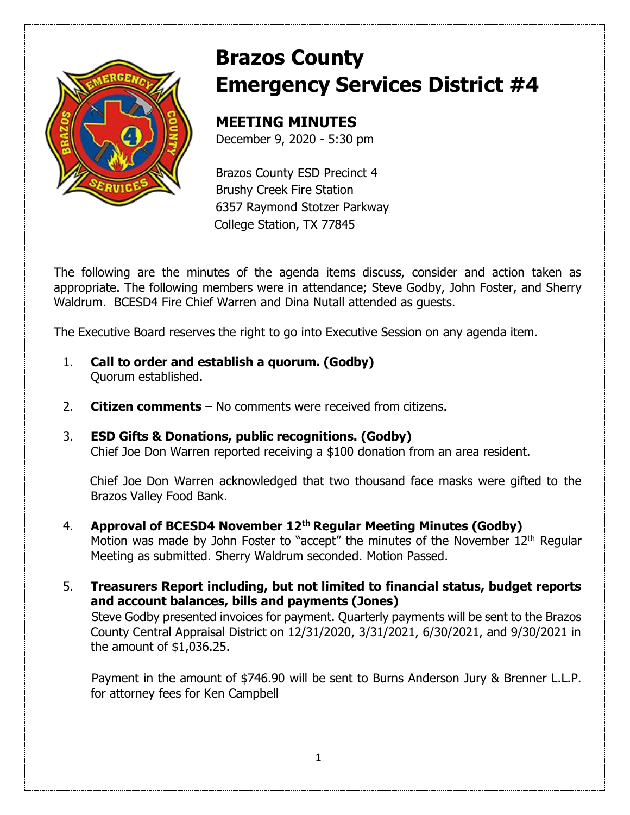

# **Brazos County Emergency Services District #4**

## **MEETING MINUTES**

December 9, 2020 - 5:30 pm

Brazos County ESD Precinct 4 Brushy Creek Fire Station 6357 Raymond Stotzer Parkway College Station, TX 77845

The following are the minutes of the agenda items discuss, consider and action taken as appropriate. The following members were in attendance; Steve Godby, John Foster, and Sherry Waldrum. BCESD4 Fire Chief Warren and Dina Nutall attended as guests.

The Executive Board reserves the right to go into Executive Session on any agenda item.

- 1. **Call to order and establish a quorum. (Godby)** Quorum established.
- 2. **Citizen comments** No comments were received from citizens.
- 3. **ESD Gifts & Donations, public recognitions. (Godby)**  Chief Joe Don Warren reported receiving a \$100 donation from an area resident.

 Chief Joe Don Warren acknowledged that two thousand face masks were gifted to the Brazos Valley Food Bank.

- 4. **Approval of BCESD4 November 12th Regular Meeting Minutes (Godby)** Motion was made by John Foster to "accept" the minutes of the November  $12<sup>th</sup>$  Regular Meeting as submitted. Sherry Waldrum seconded. Motion Passed.
- 5. **Treasurers Report including, but not limited to financial status, budget reports and account balances, bills and payments (Jones)**

Steve Godby presented invoices for payment. Quarterly payments will be sent to the Brazos County Central Appraisal District on 12/31/2020, 3/31/2021, 6/30/2021, and 9/30/2021 in the amount of \$1,036.25.

Payment in the amount of \$746.90 will be sent to Burns Anderson Jury & Brenner L.L.P. for attorney fees for Ken Campbell